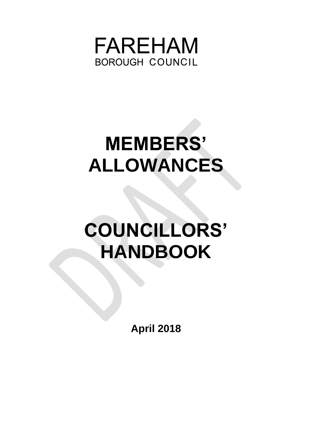

# **MEMBERS' ALLOWANCES**

# **COUNCILLORS' HANDBOOK**

**April 2018**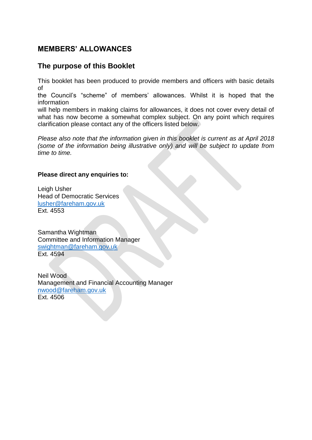# **MEMBERS' ALLOWANCES**

# **The purpose of this Booklet**

This booklet has been produced to provide members and officers with basic details of

the Council's "scheme" of members' allowances. Whilst it is hoped that the information

will help members in making claims for allowances, it does not cover every detail of what has now become a somewhat complex subject. On any point which requires clarification please contact any of the officers listed below.

*Please also note that the information given in this booklet is current as at April 2018 (some of the information being illustrative only) and will be subject to update from time to time.*

#### **Please direct any enquiries to:**

Leigh Usher Head of Democratic Services [lusher@fareham.gov.uk](mailto:lusher@fareham.gov.uk) Ext. 4553

Samantha Wightman Committee and Information Manager [swightman@fareham.gov.uk](mailto:swightman@fareham.gov.uk) Ext. 4594

Neil Wood Management and Financial Accounting Manager [nwood@fareham.gov.uk](mailto:nwood@fareham.gov.uk) Ext. 4506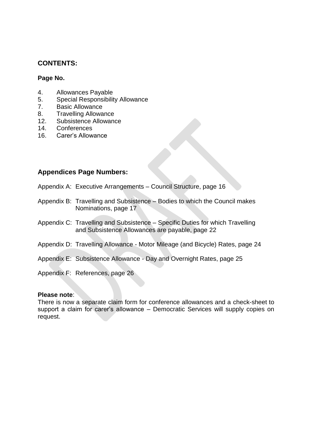## **CONTENTS:**

#### **Page No.**

- 4. Allowances Payable
- 5. Special Responsibility Allowance
- 7. Basic Allowance
- 8. Travelling Allowance
- 12. Subsistence Allowance
- 14. Conferences
- 16. Carer's Allowance

## **Appendices Page Numbers:**

- Appendix A: Executive Arrangements Council Structure, page 16
- Appendix B: Travelling and Subsistence Bodies to which the Council makes Nominations, page 17
- Appendix C: Travelling and Subsistence Specific Duties for which Travelling and Subsistence Allowances are payable, page 22
- Appendix D: Travelling Allowance Motor Mileage (and Bicycle) Rates, page 24
- Appendix E: Subsistence Allowance Day and Overnight Rates, page 25
- Appendix F: References, page 26

#### **Please note**:

There is now a separate claim form for conference allowances and a check-sheet to support a claim for carer's allowance – Democratic Services will supply copies on request.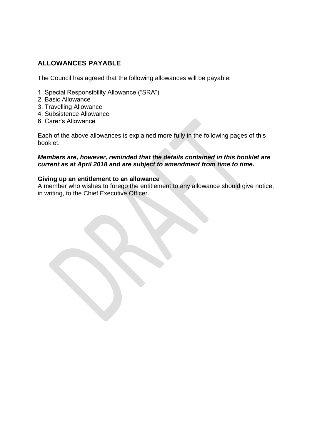# **ALLOWANCES PAYABLE**

The Council has agreed that the following allowances will be payable:

- 1. Special Responsibility Allowance ("SRA")
- 2. Basic Allowance
- 3. Travelling Allowance
- 4. Subsistence Allowance
- 6. Carer's Allowance

Each of the above allowances is explained more fully in the following pages of this booklet.

#### *Members are, however, reminded that the details contained in this booklet are current as at April 2018 and are subject to amendment from time to time.*

#### **Giving up an entitlement to an allowance**

A member who wishes to forego the entitlement to any allowance should give notice, in writing, to the Chief Executive Officer.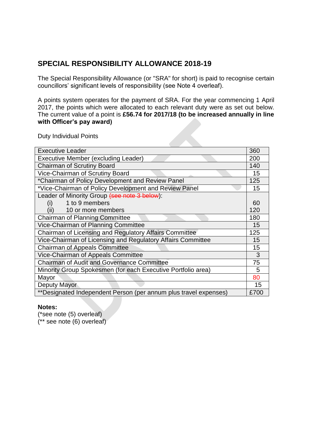# **SPECIAL RESPONSIBILITY ALLOWANCE 2018-19**

The Special Responsibility Allowance (or "SRA" for short) is paid to recognise certain councillors' significant levels of responsibility (see Note 4 overleaf).

A points system operates for the payment of SRA. For the year commencing 1 April 2017, the points which were allocated to each relevant duty were as set out below. The current value of a point is **£56.74 for 2017/18 (to be increased annually in line with Officer's pay award)**

Duty Individual Points

| <b>Executive Leader</b>                                          | 360  |
|------------------------------------------------------------------|------|
| Executive Member (excluding Leader)                              | 200  |
| <b>Chairman of Scrutiny Board</b>                                | 140  |
| Vice-Chairman of Scrutiny Board                                  | 15   |
| *Chairman of Policy Development and Review Panel                 | 125  |
| *Vice-Chairman of Policy Development and Review Panel            | 15   |
| Leader of Minority Group (see note 3 below):                     |      |
| 1 to 9 members<br>(i)                                            | 60   |
| (ii)<br>10 or more members                                       | 120  |
| <b>Chairman of Planning Committee</b>                            | 180  |
| Vice-Chairman of Planning Committee                              | 15   |
| Chairman of Licensing and Regulatory Affairs Committee           | 125  |
| Vice-Chairman of Licensing and Regulatory Affairs Committee      | 15   |
| <b>Chairman of Appeals Committee</b>                             | 15   |
| Vice-Chairman of Appeals Committee                               | 3    |
| <b>Chairman of Audit and Governance Committee</b>                | 75   |
| Minority Group Spokesmen (for each Executive Portfolio area)     | 5    |
| Mayor                                                            | 80   |
| Deputy Mayor                                                     | 15   |
| **Designated Independent Person (per annum plus travel expenses) | £700 |

#### **Notes:**

(\*see note (5) overleaf)

(\*\* see note (6) overleaf)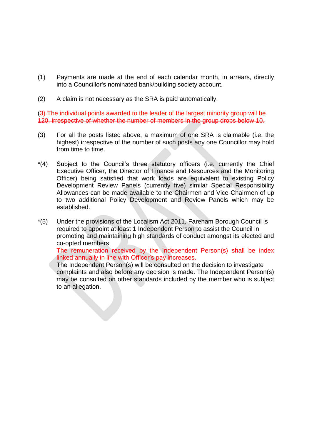- (1) Payments are made at the end of each calendar month, in arrears, directly into a Councillor's nominated bank/building society account.
- (2) A claim is not necessary as the SRA is paid automatically.

(3) The individual points awarded to the leader of the largest minority group will be 120, irrespective of whether the number of members in the group drops below 10.

- (3) For all the posts listed above, a maximum of one SRA is claimable (i.e. the highest) irrespective of the number of such posts any one Councillor may hold from time to time.
- \*(4) Subject to the Council's three statutory officers (i.e. currently the Chief Executive Officer, the Director of Finance and Resources and the Monitoring Officer) being satisfied that work loads are equivalent to existing Policy Development Review Panels (currently five) similar Special Responsibility Allowances can be made available to the Chairmen and Vice-Chairmen of up to two additional Policy Development and Review Panels which may be established.
- \*(5) Under the provisions of the Localism Act 2011, Fareham Borough Council is required to appoint at least 1 Independent Person to assist the Council in promoting and maintaining high standards of conduct amongst its elected and co-opted members.

The remuneration received by the Independent Person(s) shall be index linked annually in line with Officer's pay increases.

The Independent Person(s) will be consulted on the decision to investigate complaints and also before any decision is made. The Independent Person(s) may be consulted on other standards included by the member who is subject to an allegation.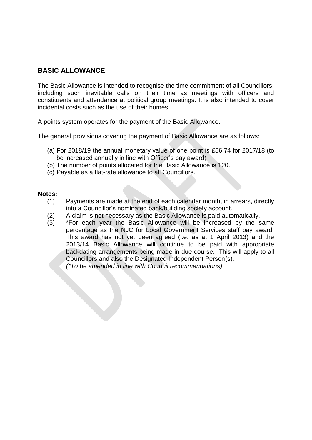## **BASIC ALLOWANCE**

The Basic Allowance is intended to recognise the time commitment of all Councillors, including such inevitable calls on their time as meetings with officers and constituents and attendance at political group meetings. It is also intended to cover incidental costs such as the use of their homes.

A points system operates for the payment of the Basic Allowance.

The general provisions covering the payment of Basic Allowance are as follows:

- (a) For 2018/19 the annual monetary value of one point is £56.74 for 2017/18 (to be increased annually in line with Officer's pay award)
- (b) The number of points allocated for the Basic Allowance is 120.
- (c) Payable as a flat-rate allowance to all Councillors.

#### **Notes:**

- (1) Payments are made at the end of each calendar month, in arrears, directly into a Councillor's nominated bank/building society account.
- (2) A claim is not necessary as the Basic Allowance is paid automatically.
- (3) \*For each year the Basic Allowance will be increased by the same percentage as the NJC for Local Government Services staff pay award. This award has not yet been agreed (i.e. as at 1 April 2013) and the 2013/14 Basic Allowance will continue to be paid with appropriate backdating arrangements being made in due course. This will apply to all Councillors and also the Designated Independent Person(s). *(\*To be amended in line with Council recommendations)*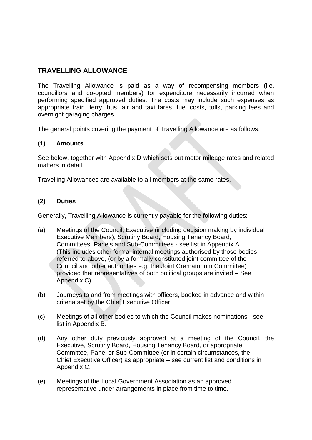## **TRAVELLING ALLOWANCE**

The Travelling Allowance is paid as a way of recompensing members (i.e. councillors and co-opted members) for expenditure necessarily incurred when performing specified approved duties. The costs may include such expenses as appropriate train, ferry, bus, air and taxi fares, fuel costs, tolls, parking fees and overnight garaging charges.

The general points covering the payment of Travelling Allowance are as follows:

#### **(1) Amounts**

See below, together with Appendix D which sets out motor mileage rates and related matters in detail.

Travelling Allowances are available to all members at the same rates.

#### **(2) Duties**

Generally, Travelling Allowance is currently payable for the following duties:

- (a) Meetings of the Council, Executive (including decision making by individual Executive Members), Scrutiny Board, Housing Tenancy Board, Committees, Panels and Sub-Committees - see list in Appendix A. (This includes other formal internal meetings authorised by those bodies referred to above, (or by a formally constituted joint committee of the Council and other authorities e.g. the Joint Crematorium Committee) provided that representatives of both political groups are invited – See Appendix C).
- (b) Journeys to and from meetings with officers, booked in advance and within criteria set by the Chief Executive Officer.
- (c) Meetings of all other bodies to which the Council makes nominations see list in Appendix B.
- (d) Any other duty previously approved at a meeting of the Council, the Executive, Scrutiny Board, Housing Tenancy Board, or appropriate Committee, Panel or Sub-Committee (or in certain circumstances, the Chief Executive Officer) as appropriate – see current list and conditions in Appendix C.
- (e) Meetings of the Local Government Association as an approved representative under arrangements in place from time to time.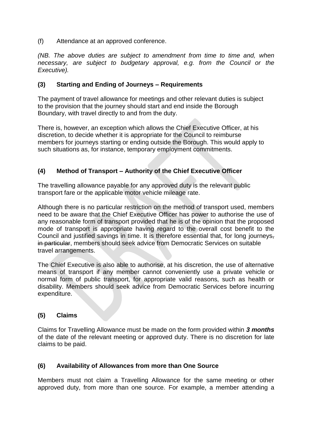(f) Attendance at an approved conference.

*(NB. The above duties are subject to amendment from time to time and, when necessary, are subject to budgetary approval, e.g. from the Council or the Executive).*

#### **(3) Starting and Ending of Journeys – Requirements**

The payment of travel allowance for meetings and other relevant duties is subject to the provision that the journey should start and end inside the Borough Boundary, with travel directly to and from the duty.

There is, however, an exception which allows the Chief Executive Officer, at his discretion, to decide whether it is appropriate for the Council to reimburse members for journeys starting or ending outside the Borough. This would apply to such situations as, for instance, temporary employment commitments.

#### **(4) Method of Transport – Authority of the Chief Executive Officer**

The travelling allowance payable for any approved duty is the relevant public transport fare or the applicable motor vehicle mileage rate.

Although there is no particular restriction on the method of transport used, members need to be aware that the Chief Executive Officer has power to authorise the use of any reasonable form of transport provided that he is of the opinion that the proposed mode of transport is appropriate having regard to the overall cost benefit to the Council and justified savings in time. It is therefore essential that, for long journeys, in particular, members should seek advice from Democratic Services on suitable travel arrangements.

The Chief Executive is also able to authorise, at his discretion, the use of alternative means of transport if any member cannot conveniently use a private vehicle or normal form of public transport, for appropriate valid reasons, such as health or disability. Members should seek advice from Democratic Services before incurring expenditure.

#### **(5) Claims**

Claims for Travelling Allowance must be made on the form provided within *3 months*  of the date of the relevant meeting or approved duty. There is no discretion for late claims to be paid.

#### **(6) Availability of Allowances from more than One Source**

Members must not claim a Travelling Allowance for the same meeting or other approved duty, from more than one source. For example, a member attending a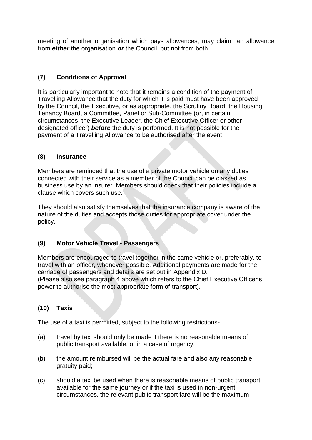meeting of another organisation which pays allowances, may claim an allowance from *either* the organisation *or* the Council, but not from both.

## **(7) Conditions of Approval**

It is particularly important to note that it remains a condition of the payment of Travelling Allowance that the duty for which it is paid must have been approved by the Council, the Executive, or as appropriate, the Scrutiny Board, the Housing Tenancy Board, a Committee, Panel or Sub-Committee (or, in certain circumstances, the Executive Leader, the Chief Executive Officer or other designated officer) *before* the duty is performed. It is not possible for the payment of a Travelling Allowance to be authorised after the event.

#### **(8) Insurance**

Members are reminded that the use of a private motor vehicle on any duties connected with their service as a member of the Council can be classed as business use by an insurer. Members should check that their policies include a clause which covers such use.

They should also satisfy themselves that the insurance company is aware of the nature of the duties and accepts those duties for appropriate cover under the policy.

## **(9) Motor Vehicle Travel - Passengers**

Members are encouraged to travel together in the same vehicle or, preferably, to travel with an officer, whenever possible. Additional payments are made for the carriage of passengers and details are set out in Appendix D. (Please also see paragraph 4 above which refers to the Chief Executive Officer's power to authorise the most appropriate form of transport).

## **(10) Taxis**

The use of a taxi is permitted, subject to the following restrictions-

- (a) travel by taxi should only be made if there is no reasonable means of public transport available, or in a case of urgency;
- (b) the amount reimbursed will be the actual fare and also any reasonable gratuity paid;
- (c) should a taxi be used when there is reasonable means of public transport available for the same journey or if the taxi is used in non-urgent circumstances, the relevant public transport fare will be the maximum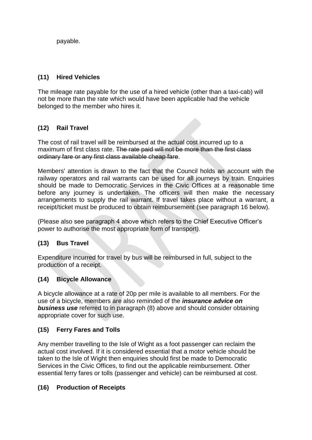payable.

## **(11) Hired Vehicles**

The mileage rate payable for the use of a hired vehicle (other than a taxi-cab) will not be more than the rate which would have been applicable had the vehicle belonged to the member who hires it.

## **(12) Rail Travel**

The cost of rail travel will be reimbursed at the actual cost incurred up to a maximum of first class rate. The rate paid will not be more than the first class ordinary fare or any first class available cheap fare.

Members' attention is drawn to the fact that the Council holds an account with the railway operators and rail warrants can be used for all journeys by train. Enquiries should be made to Democratic Services in the Civic Offices at a reasonable time before any journey is undertaken. The officers will then make the necessary arrangements to supply the rail warrant. If travel takes place without a warrant, a receipt/ticket must be produced to obtain reimbursement (see paragraph 16 below).

(Please also see paragraph 4 above which refers to the Chief Executive Officer's power to authorise the most appropriate form of transport).

#### **(13) Bus Travel**

Expenditure incurred for travel by bus will be reimbursed in full, subject to the production of a receipt.

#### **(14) Bicycle Allowance**

A bicycle allowance at a rate of 20p per mile is available to all members. For the use of a bicycle, members are also reminded of the *insurance advice on business use* referred to in paragraph (8) above and should consider obtaining appropriate cover for such use.

## **(15) Ferry Fares and Tolls**

Any member travelling to the Isle of Wight as a foot passenger can reclaim the actual cost involved. If it is considered essential that a motor vehicle should be taken to the Isle of Wight then enquiries should first be made to Democratic Services in the Civic Offices, to find out the applicable reimbursement. Other essential ferry fares or tolls (passenger and vehicle) can be reimbursed at cost.

## **(16) Production of Receipts**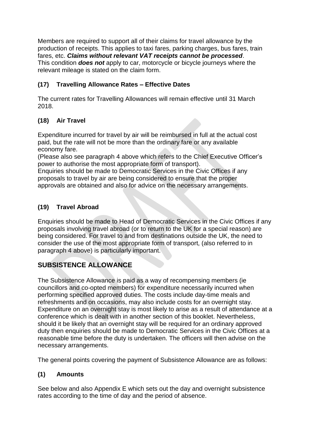Members are required to support all of their claims for travel allowance by the production of receipts. This applies to taxi fares, parking charges, bus fares, train fares, etc. *Claims without relevant VAT receipts cannot be processed*. This condition *does not* apply to car, motorcycle or bicycle journeys where the relevant mileage is stated on the claim form.

## **(17) Travelling Allowance Rates – Effective Dates**

The current rates for Travelling Allowances will remain effective until 31 March 2018.

# **(18) Air Travel**

Expenditure incurred for travel by air will be reimbursed in full at the actual cost paid, but the rate will not be more than the ordinary fare or any available economy fare.

(Please also see paragraph 4 above which refers to the Chief Executive Officer's power to authorise the most appropriate form of transport).

Enquiries should be made to Democratic Services in the Civic Offices if any proposals to travel by air are being considered to ensure that the proper approvals are obtained and also for advice on the necessary arrangements.

## **(19) Travel Abroad**

Enquiries should be made to Head of Democratic Services in the Civic Offices if any proposals involving travel abroad (or to return to the UK for a special reason) are being considered. For travel to and from destinations outside the UK, the need to consider the use of the most appropriate form of transport, (also referred to in paragraph 4 above) is particularly important.

# **SUBSISTENCE ALLOWANCE**

The Subsistence Allowance is paid as a way of recompensing members (ie councillors and co-opted members) for expenditure necessarily incurred when performing specified approved duties. The costs include day-time meals and refreshments and on occasions, may also include costs for an overnight stay. Expenditure on an overnight stay is most likely to arise as a result of attendance at a conference which is dealt with in another section of this booklet. Nevertheless, should it be likely that an overnight stay will be required for an ordinary approved duty then enquiries should be made to Democratic Services in the Civic Offices at a reasonable time before the duty is undertaken. The officers will then advise on the necessary arrangements.

The general points covering the payment of Subsistence Allowance are as follows:

## **(1) Amounts**

See below and also Appendix E which sets out the day and overnight subsistence rates according to the time of day and the period of absence.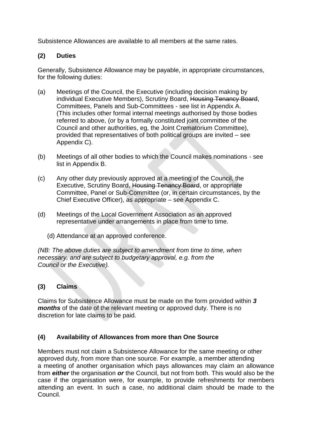Subsistence Allowances are available to all members at the same rates.

## **(2) Duties**

Generally, Subsistence Allowance may be payable, in appropriate circumstances, for the following duties:

- (a) Meetings of the Council, the Executive (including decision making by individual Executive Members), Scrutiny Board, Housing Tenancy Board, Committees, Panels and Sub-Committees - see list in Appendix A. (This includes other formal internal meetings authorised by those bodies referred to above, (or by a formally constituted joint committee of the Council and other authorities, eg, the Joint Crematorium Committee), provided that representatives of both political groups are invited – see Appendix C).
- (b) Meetings of all other bodies to which the Council makes nominations see list in Appendix B.
- (c) Any other duty previously approved at a meeting of the Council, the Executive, Scrutiny Board, Housing Tenancy Board, or appropriate Committee, Panel or Sub-Committee (or, in certain circumstances, by the Chief Executive Officer), as appropriate – see Appendix C.
- (d) Meetings of the Local Government Association as an approved representative under arrangements in place from time to time.
	- (d) Attendance at an approved conference.

*(NB: The above duties are subject to amendment from time to time, when necessary, and are subject to budgetary approval, e.g. from the Council or the Executive).*

## **(3) Claims**

Claims for Subsistence Allowance must be made on the form provided within *3 months* of the date of the relevant meeting or approved duty. There is no discretion for late claims to be paid.

## **(4) Availability of Allowances from more than One Source**

Members must not claim a Subsistence Allowance for the same meeting or other approved duty, from more than one source. For example, a member attending a meeting of another organisation which pays allowances may claim an allowance from *either* the organisation *or* the Council, but not from both. This would also be the case if the organisation were, for example, to provide refreshments for members attending an event. In such a case, no additional claim should be made to the Council.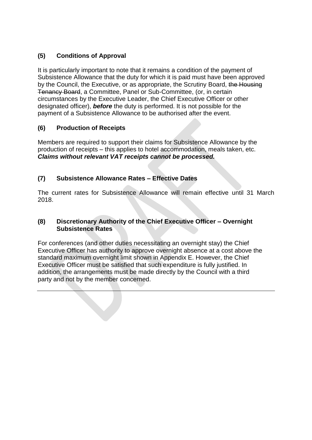## **(5) Conditions of Approval**

It is particularly important to note that it remains a condition of the payment of Subsistence Allowance that the duty for which it is paid must have been approved by the Council, the Executive, or as appropriate, the Scrutiny Board, the Housing Tenancy Board, a Committee, Panel or Sub-Committee, (or, in certain circumstances by the Executive Leader, the Chief Executive Officer or other designated officer), *before* the duty is performed. It is not possible for the payment of a Subsistence Allowance to be authorised after the event.

## **(6) Production of Receipts**

Members are required to support their claims for Subsistence Allowance by the production of receipts – this applies to hotel accommodation, meals taken, etc. *Claims without relevant VAT receipts cannot be processed.*

## **(7) Subsistence Allowance Rates – Effective Dates**

The current rates for Subsistence Allowance will remain effective until 31 March 2018.

## **(8) Discretionary Authority of the Chief Executive Officer – Overnight Subsistence Rates**

For conferences (and other duties necessitating an overnight stay) the Chief Executive Officer has authority to approve overnight absence at a cost above the standard maximum overnight limit shown in Appendix E. However, the Chief Executive Officer must be satisfied that such expenditure is fully justified. In addition, the arrangements must be made directly by the Council with a third party and not by the member concerned.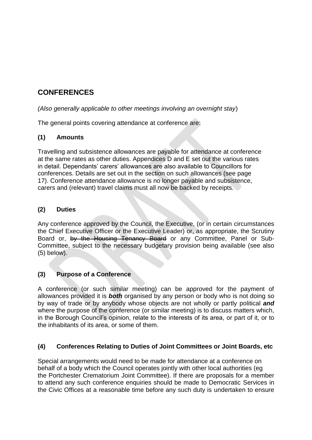# **CONFERENCES**

## *(Also generally applicable to other meetings involving an overnight stay*)

The general points covering attendance at conference are:

## **(1) Amounts**

Travelling and subsistence allowances are payable for attendance at conference at the same rates as other duties. Appendices D and E set out the various rates in detail. Dependants' carers' allowances are also available to Councillors for conferences. Details are set out in the section on such allowances (see page 17). Conference attendance allowance is no longer payable and subsistence, carers and (relevant) travel claims must all now be backed by receipts.

#### **(2) Duties**

Any conference approved by the Council, the Executive, (or in certain circumstances the Chief Executive Officer or the Executive Leader) or, as appropriate, the Scrutiny Board or, by the Housing Tenancy Board or any Committee, Panel or Sub-Committee, subject to the necessary budgetary provision being available (see also (5) below).

## **(3) Purpose of a Conference**

A conference (or such similar meeting) can be approved for the payment of allowances provided it is *both* organised by any person or body who is not doing so by way of trade or by anybody whose objects are not wholly or partly political *and*  where the purpose of the conference (or similar meeting) is to discuss matters which, in the Borough Council's opinion, relate to the interests of its area, or part of it, or to the inhabitants of its area, or some of them.

## **(4) Conferences Relating to Duties of Joint Committees or Joint Boards, etc**

Special arrangements would need to be made for attendance at a conference on behalf of a body which the Council operates jointly with other local authorities (eg the Portchester Crematorium Joint Committee). If there are proposals for a member to attend any such conference enquiries should be made to Democratic Services in the Civic Offices at a reasonable time before any such duty is undertaken to ensure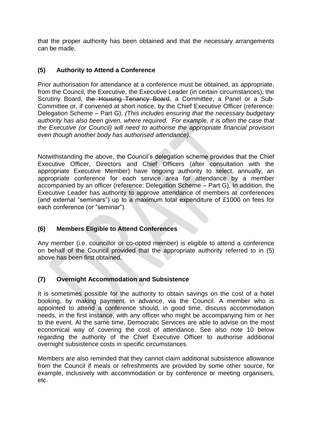that the proper authority has been obtained and that the necessary arrangements can be made.

#### **(5) Authority to Attend a Conference**

Prior authorisation for attendance at a conference must be obtained, as appropriate, from the Council, the Executive, the Executive Leader (in certain circumstances), the Scrutiny Board, the Housing Tenancy Board, a Committee, a Panel or a Sub-Committee or, if convened at short notice, by the Chief Executive Officer (reference: Delegation Scheme – Part G). *(This includes ensuring that the necessary budgetary authority has also been given, where required. For example, it is often the case that the Executive (or Council) will need to authorise the appropriate financial provision even though another body has authorised attendance).*

Notwithstanding the above, the Council's delegation scheme provides that the Chief Executive Officer, Directors and Chief Officers (after consultation with the appropriate Executive Member) have ongoing authority to select, annually, an appropriate conference for each service area for attendance by a member accompanied by an officer (reference: Delegation Scheme – Part G). In addition, the Executive Leader has authority to approve attendance of members at conferences (and external "seminars") up to a maximum total expenditure of £1000 on fees for each conference (or "seminar").

## **(6) Members Eligible to Attend Conferences**

Any member (i.e. councillor or co-opted member) is eligible to attend a conference on behalf of the Council provided that the appropriate authority referred to in (5) above has been first obtained.

## **(7) Overnight Accommodation and Subsistence**

It is sometimes possible for the authority to obtain savings on the cost of a hotel booking, by making payment, in advance, via the Council. A member who is appointed to attend a conference should, in good time, discuss accommodation needs, in the first instance, with any officer who might be accompanying him or her to the event. At the same time, Democratic Services are able to advise on the most economical way of covering the cost of attendance. See also note 10 below regarding the authority of the Chief Executive Officer to authorise additional overnight subsistence costs in specific circumstances.

Members are also reminded that they cannot claim additional subsistence allowance from the Council if meals or refreshments are provided by some other source, for example, inclusively with accommodation or by conference or meeting organisers, etc.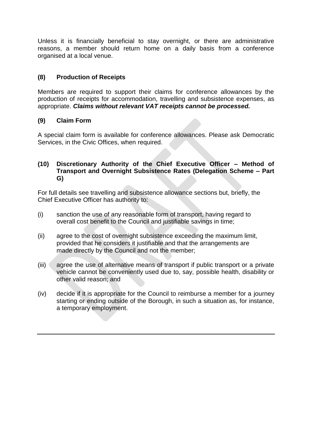Unless it is financially beneficial to stay overnight, or there are administrative reasons, a member should return home on a daily basis from a conference organised at a local venue.

## **(8) Production of Receipts**

Members are required to support their claims for conference allowances by the production of receipts for accommodation, travelling and subsistence expenses, as appropriate. *Claims without relevant VAT receipts cannot be processed.*

## **(9) Claim Form**

A special claim form is available for conference allowances. Please ask Democratic Services, in the Civic Offices, when required.

#### **(10) Discretionary Authority of the Chief Executive Officer – Method of Transport and Overnight Subsistence Rates (Delegation Scheme – Part G)**

For full details see travelling and subsistence allowance sections but, briefly, the Chief Executive Officer has authority to:

- (i) sanction the use of any reasonable form of transport, having regard to overall cost benefit to the Council and justifiable savings in time;
- (ii) agree to the cost of overnight subsistence exceeding the maximum limit, provided that he considers it justifiable and that the arrangements are made directly by the Council and not the member;
- (iii) agree the use of alternative means of transport if public transport or a private vehicle cannot be conveniently used due to, say, possible health, disability or other valid reason; and
- (iv) decide if it is appropriate for the Council to reimburse a member for a journey starting or ending outside of the Borough, in such a situation as, for instance, a temporary employment.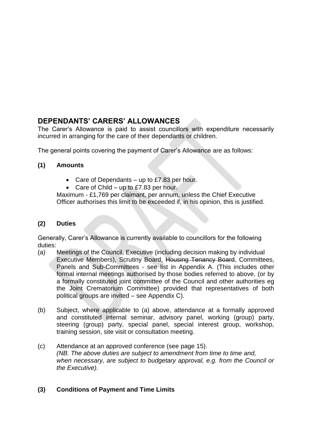# **DEPENDANTS' CARERS' ALLOWANCES**

The Carer's Allowance is paid to assist councillors with expenditure necessarily incurred in arranging for the care of their dependants or children.

The general points covering the payment of Carer's Allowance are as follows:

## **(1) Amounts**

- Care of Dependants  $-$  up to £7.83 per hour.
- Care of Child up to £7.83 per hour.

Maximum - £1,769 per claimant, per annum, unless the Chief Executive Officer authorises this limit to be exceeded if, in his opinion, this is justified.

## **(2) Duties**

Generally, Carer's Allowance is currently available to councillors for the following duties:

- (a) Meetings of the Council, Executive (including decision making by individual Executive Members), Scrutiny Board, Housing Tenancy Board, Committees, Panels and Sub-Committees - see list in Appendix A. (This includes other formal internal meetings authorised by those bodies referred to above, (or by a formally constituted joint committee of the Council and other authorities eg the Joint Crematorium Committee) provided that representatives of both political groups are invited – see Appendix C).
- (b) Subject, where applicable to (a) above, attendance at a formally approved and constituted internal seminar, advisory panel, working (group) party, steering (group) party, special panel, special interest group, workshop, training session, site visit or consultation meeting.
- (c) Attendance at an approved conference (see page 15). *(NB. The above duties are subject to amendment from time to time and, when necessary, are subject to budgetary approval, e.g. from the Council or the Executive).*

## **(3) Conditions of Payment and Time Limits**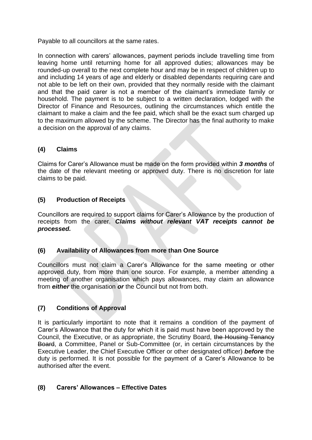Payable to all councillors at the same rates.

In connection with carers' allowances, payment periods include travelling time from leaving home until returning home for all approved duties; allowances may be rounded-up overall to the next complete hour and may be in respect of children up to and including 14 years of age and elderly or disabled dependants requiring care and not able to be left on their own, provided that they normally reside with the claimant and that the paid carer is not a member of the claimant's immediate family or household. The payment is to be subject to a written declaration, lodged with the Director of Finance and Resources, outlining the circumstances which entitle the claimant to make a claim and the fee paid, which shall be the exact sum charged up to the maximum allowed by the scheme. The Director has the final authority to make a decision on the approval of any claims.

## **(4) Claims**

Claims for Carer's Allowance must be made on the form provided within *3 months* of the date of the relevant meeting or approved duty. There is no discretion for late claims to be paid.

## **(5) Production of Receipts**

Councillors are required to support claims for Carer's Allowance by the production of receipts from the carer. *Claims without relevant VAT receipts cannot be processed.*

## **(6) Availability of Allowances from more than One Source**

Councillors must not claim a Carer's Allowance for the same meeting or other approved duty, from more than one source. For example, a member attending a meeting of another organisation which pays allowances, may claim an allowance from *either* the organisation *or* the Council but not from both.

## **(7) Conditions of Approval**

It is particularly important to note that it remains a condition of the payment of Carer's Allowance that the duty for which it is paid must have been approved by the Council, the Executive, or as appropriate, the Scrutiny Board, the Housing Tenancy Board, a Committee, Panel or Sub-Committee (or, in certain circumstances by the Executive Leader, the Chief Executive Officer or other designated officer) *before* the duty is performed. It is not possible for the payment of a Carer's Allowance to be authorised after the event.

## **(8) Carers' Allowances – Effective Dates**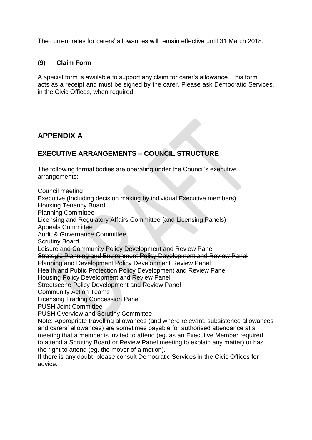The current rates for carers' allowances will remain effective until 31 March 2018.

#### **(9) Claim Form**

A special form is available to support any claim for carer's allowance. This form acts as a receipt and must be signed by the carer. Please ask Democratic Services, in the Civic Offices, when required.

# **APPENDIX A**

# **EXECUTIVE ARRANGEMENTS – COUNCIL STRUCTURE**

The following formal bodies are operating under the Council's executive arrangements:

Council meeting Executive (Including decision making by individual Executive members) Housing Tenancy Board Planning Committee Licensing and Regulatory Affairs Committee (and Licensing Panels) Appeals Committee Audit & Governance Committee Scrutiny Board Leisure and Community Policy Development and Review Panel Strategic Planning and Environment Policy Development and Review Panel Planning and Development Policy Development Review Panel Health and Public Protection Policy Development and Review Panel Housing Policy Development and Review Panel Streetscene Policy Development and Review Panel Community Action Teams Licensing Trading Concession Panel PUSH Joint Committee PUSH Overview and Scrutiny Committee Note: Appropriate travelling allowances (and where relevant, subsistence allowances and carers' allowances) are sometimes payable for authorised attendance at a meeting that a member is invited to attend (eg. as an Executive Member required to attend a Scrutiny Board or Review Panel meeting to explain any matter) or has the right to attend (eg. the mover of a motion). If there is any doubt, please consult Democratic Services in the Civic Offices for advice.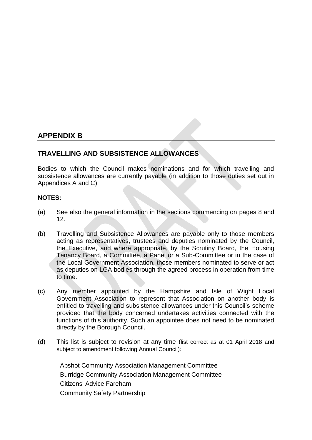## **APPENDIX B**

## **TRAVELLING AND SUBSISTENCE ALLOWANCES**

Bodies to which the Council makes nominations and for which travelling and subsistence allowances are currently payable (in addition to those duties set out in Appendices A and C)

#### **NOTES:**

- (a) See also the general information in the sections commencing on pages 8 and 12.
- (b) Travelling and Subsistence Allowances are payable only to those members acting as representatives, trustees and deputies nominated by the Council, the Executive, and where appropriate, by the Scrutiny Board, the Housing Tenancy Board, a Committee, a Panel or a Sub-Committee or in the case of the Local Government Association, those members nominated to serve or act as deputies on LGA bodies through the agreed process in operation from time to time.
- (c) Any member appointed by the Hampshire and Isle of Wight Local Government Association to represent that Association on another body is entitled to travelling and subsistence allowances under this Council's scheme provided that the body concerned undertakes activities connected with the functions of this authority. Such an appointee does not need to be nominated directly by the Borough Council.
- (d) This list is subject to revision at any time (list correct as at 01 April 2018 and subject to amendment following Annual Council):

[Abshot Community Association Management Committee](http://moderngov.fareham.gov.uk/mgOutsideBodyDetails.aspx?ID=313) [Burridge Community Association Management Committee](http://moderngov.fareham.gov.uk/mgOutsideBodyDetails.aspx?ID=212) [Citizens' Advice Fareham](http://moderngov.fareham.gov.uk/mgOutsideBodyDetails.aspx?ID=189) [Community Safety Partnership](http://moderngov.fareham.gov.uk/mgOutsideBodyDetails.aspx?ID=250)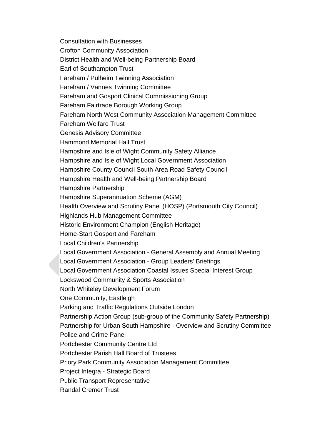[Consultation with Businesses](http://moderngov.fareham.gov.uk/mgOutsideBodyDetails.aspx?ID=191) [Crofton Community Association](http://moderngov.fareham.gov.uk/mgOutsideBodyDetails.aspx?ID=213) [District Health and Well-being Partnership Board](http://moderngov.fareham.gov.uk/mgOutsideBodyDetails.aspx?ID=219) [Earl of Southampton Trust](http://moderngov.fareham.gov.uk/mgOutsideBodyDetails.aspx?ID=192) [Fareham / Pulheim Twinning Association](http://moderngov.fareham.gov.uk/mgOutsideBodyDetails.aspx?ID=194) [Fareham / Vannes Twinning Committee](http://moderngov.fareham.gov.uk/mgOutsideBodyDetails.aspx?ID=196) [Fareham and Gosport Clinical Commissioning Group](http://moderngov.fareham.gov.uk/mgOutsideBodyDetails.aspx?ID=315) [Fareham Fairtrade Borough Working Group](http://moderngov.fareham.gov.uk/mgOutsideBodyDetails.aspx?ID=193) [Fareham North West Community Association Management Committee](http://moderngov.fareham.gov.uk/mgOutsideBodyDetails.aspx?ID=216) [Fareham Welfare Trust](http://moderngov.fareham.gov.uk/mgOutsideBodyDetails.aspx?ID=197) [Genesis Advisory Committee](http://moderngov.fareham.gov.uk/mgOutsideBodyDetails.aspx?ID=217) [Hammond Memorial Hall Trust](http://moderngov.fareham.gov.uk/mgOutsideBodyDetails.aspx?ID=198) [Hampshire and Isle of Wight Community Safety Alliance](http://moderngov.fareham.gov.uk/mgOutsideBodyDetails.aspx?ID=332) [Hampshire and Isle of Wight Local Government Association](http://moderngov.fareham.gov.uk/mgOutsideBodyDetails.aspx?ID=199) [Hampshire County Council South Area Road Safety Council](http://moderngov.fareham.gov.uk/mgOutsideBodyDetails.aspx?ID=254) [Hampshire Health and Well-being Partnership Board](http://moderngov.fareham.gov.uk/mgOutsideBodyDetails.aspx?ID=218) [Hampshire Partnership](http://moderngov.fareham.gov.uk/mgOutsideBodyDetails.aspx?ID=322) [Hampshire Superannuation Scheme \(AGM\)](http://moderngov.fareham.gov.uk/mgOutsideBodyDetails.aspx?ID=200) [Health Overview and Scrutiny Panel \(HOSP\) \(Portsmouth City Council\)](http://moderngov.fareham.gov.uk/mgOutsideBodyDetails.aspx?ID=221) [Highlands Hub Management Committee](http://moderngov.fareham.gov.uk/mgOutsideBodyDetails.aspx?ID=259) [Historic Environment Champion \(English Heritage\)](http://moderngov.fareham.gov.uk/mgOutsideBodyDetails.aspx?ID=244) [Home-Start Gosport and Fareham](http://moderngov.fareham.gov.uk/mgOutsideBodyDetails.aspx?ID=222) [Local Children's Partnership](http://moderngov.fareham.gov.uk/mgOutsideBodyDetails.aspx?ID=203) Local Government Association - [General Assembly and Annual Meeting](http://moderngov.fareham.gov.uk/mgOutsideBodyDetails.aspx?ID=201) [Local Government Association -](http://moderngov.fareham.gov.uk/mgOutsideBodyDetails.aspx?ID=202) Group Leaders' Briefings [Local Government Association Coastal](http://moderngov.fareham.gov.uk/mgOutsideBodyDetails.aspx?ID=245) Issues Special Interest Group [Lockswood Community & Sports Association](http://moderngov.fareham.gov.uk/mgOutsideBodyDetails.aspx?ID=312) [North Whiteley Development Forum](http://moderngov.fareham.gov.uk/mgOutsideBodyDetails.aspx?ID=246) [One Community, Eastleigh](http://moderngov.fareham.gov.uk/mgOutsideBodyDetails.aspx?ID=336) [Parking and Traffic Regulations Outside London](http://moderngov.fareham.gov.uk/mgOutsideBodyDetails.aspx?ID=253) [Partnership Action Group \(sub-group of the Community Safety Partnership\)](http://moderngov.fareham.gov.uk/mgOutsideBodyDetails.aspx?ID=251) [Partnership for Urban South Hampshire -](http://moderngov.fareham.gov.uk/mgOutsideBodyDetails.aspx?ID=204) Overview and Scrutiny Committee [Police and Crime Panel](http://moderngov.fareham.gov.uk/mgOutsideBodyDetails.aspx?ID=258) [Portchester Community Centre Ltd](http://moderngov.fareham.gov.uk/mgOutsideBodyDetails.aspx?ID=314) [Portchester Parish Hall Board of Trustees](http://moderngov.fareham.gov.uk/mgOutsideBodyDetails.aspx?ID=226) [Priory Park Community Association Management Committee](http://moderngov.fareham.gov.uk/mgOutsideBodyDetails.aspx?ID=227) [Project Integra -](http://moderngov.fareham.gov.uk/mgOutsideBodyDetails.aspx?ID=255) Strategic Board [Public Transport Representative](http://moderngov.fareham.gov.uk/mgOutsideBodyDetails.aspx?ID=247) [Randal Cremer Trust](http://moderngov.fareham.gov.uk/mgOutsideBodyDetails.aspx?ID=205)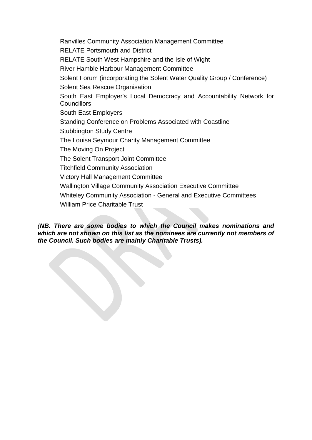[Ranvilles Community Association Management Committee](http://moderngov.fareham.gov.uk/mgOutsideBodyDetails.aspx?ID=228) [RELATE Portsmouth and District](http://moderngov.fareham.gov.uk/mgOutsideBodyDetails.aspx?ID=229) [RELATE South West Hampshire and the Isle of Wight](http://moderngov.fareham.gov.uk/mgOutsideBodyDetails.aspx?ID=230) [River Hamble Harbour Management Committee](http://moderngov.fareham.gov.uk/mgOutsideBodyDetails.aspx?ID=231) [Solent Forum \(incorporating the Solent Water Quality Group / Conference\)](http://moderngov.fareham.gov.uk/mgOutsideBodyDetails.aspx?ID=248) [Solent Sea Rescue Organisation](http://moderngov.fareham.gov.uk/mgOutsideBodyDetails.aspx?ID=232) [South East Employer's Local Democracy and Accountability Network for](http://moderngov.fareham.gov.uk/mgOutsideBodyDetails.aspx?ID=206)  **[Councillors](http://moderngov.fareham.gov.uk/mgOutsideBodyDetails.aspx?ID=206)** [South East Employers](http://moderngov.fareham.gov.uk/mgOutsideBodyDetails.aspx?ID=207) [Standing Conference on Problems Associated with Coastline](http://moderngov.fareham.gov.uk/mgOutsideBodyDetails.aspx?ID=261) [Stubbington Study Centre](http://moderngov.fareham.gov.uk/mgOutsideBodyDetails.aspx?ID=338) [The Louisa Seymour Charity Management Committee](http://moderngov.fareham.gov.uk/mgOutsideBodyDetails.aspx?ID=233) [The Moving On Project](http://moderngov.fareham.gov.uk/mgOutsideBodyDetails.aspx?ID=329) [The Solent Transport Joint Committee](http://moderngov.fareham.gov.uk/mgOutsideBodyDetails.aspx?ID=249) [Titchfield Community Association](http://moderngov.fareham.gov.uk/mgOutsideBodyDetails.aspx?ID=234) [Victory Hall Management Committee](http://moderngov.fareham.gov.uk/mgOutsideBodyDetails.aspx?ID=235) [Wallington Village Community Association Executive Committee](http://moderngov.fareham.gov.uk/mgOutsideBodyDetails.aspx?ID=236) Whiteley Community Association - [General and Executive Committees](http://moderngov.fareham.gov.uk/mgOutsideBodyDetails.aspx?ID=238) [William Price Charitable Trust](http://moderngov.fareham.gov.uk/mgOutsideBodyDetails.aspx?ID=210)

*(NB. There are some bodies to which the Council makes nominations and which are not shown on this list as the nominees are currently not members of the Council. Such bodies are mainly Charitable Trusts).*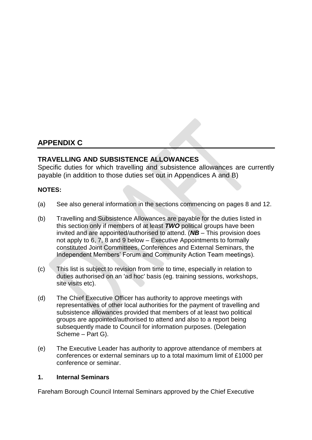# **APPENDIX C**

## **TRAVELLING AND SUBSISTENCE ALLOWANCES**

Specific duties for which travelling and subsistence allowances are currently payable (in addition to those duties set out in Appendices A and B)

#### **NOTES:**

- (a) See also general information in the sections commencing on pages 8 and 12.
- (b) Travelling and Subsistence Allowances are payable for the duties listed in this section only if members of at least *TWO* political groups have been invited and are appointed/authorised to attend. (*NB* – This provision does not apply to 6, 7, 8 and 9 below – Executive Appointments to formally constituted Joint Committees, Conferences and External Seminars, the Independent Members' Forum and Community Action Team meetings).
- (c) This list is subject to revision from time to time, especially in relation to duties authorised on an 'ad hoc' basis (eg. training sessions, workshops, site visits etc).
- (d) The Chief Executive Officer has authority to approve meetings with representatives of other local authorities for the payment of travelling and subsistence allowances provided that members of at least two political groups are appointed/authorised to attend and also to a report being subsequently made to Council for information purposes. (Delegation Scheme – Part G).
- (e) The Executive Leader has authority to approve attendance of members at conferences or external seminars up to a total maximum limit of £1000 per conference or seminar.

#### **1. Internal Seminars**

Fareham Borough Council Internal Seminars approved by the Chief Executive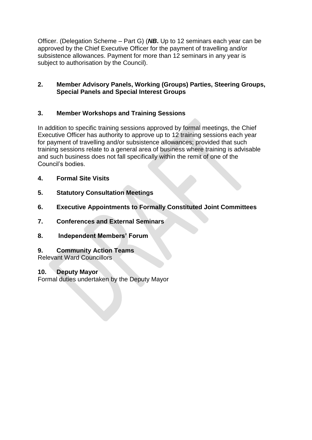Officer. (Delegation Scheme – Part G) (*NB***.** Up to 12 seminars each year can be approved by the Chief Executive Officer for the payment of travelling and/or subsistence allowances. Payment for more than 12 seminars in any year is subject to authorisation by the Council).

#### **2. Member Advisory Panels, Working (Groups) Parties, Steering Groups, Special Panels and Special Interest Groups**

## **3. Member Workshops and Training Sessions**

In addition to specific training sessions approved by formal meetings, the Chief Executive Officer has authority to approve up to 12 training sessions each year for payment of travelling and/or subsistence allowances; provided that such training sessions relate to a general area of business where training is advisable and such business does not fall specifically within the remit of one of the Council's bodies.

- **4. Formal Site Visits**
- **5. Statutory Consultation Meetings**
- **6. Executive Appointments to Formally Constituted Joint Committees**
- **7. Conferences and External Seminars**
- **8. Independent Members' Forum**
- **9. Community Action Teams**

Relevant Ward Councillors

#### **10. Deputy Mayor**

Formal duties undertaken by the Deputy Mayor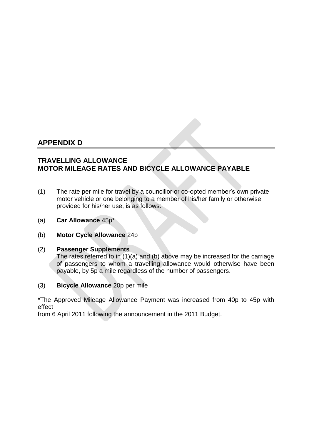# **APPENDIX D**

## **TRAVELLING ALLOWANCE MOTOR MILEAGE RATES AND BICYCLE ALLOWANCE PAYABLE**

- (1) The rate per mile for travel by a councillor or co-opted member's own private motor vehicle or one belonging to a member of his/her family or otherwise provided for his/her use, is as follows:
- (a) **Car Allowance** 45p\*
- (b) **Motor Cycle Allowance** 24p

#### (2) **Passenger Supplements**

The rates referred to in (1)(a) and (b) above may be increased for the carriage of passengers to whom a travelling allowance would otherwise have been payable, by 5p a mile regardless of the number of passengers.

(3) **Bicycle Allowance** 20p per mile

\*The Approved Mileage Allowance Payment was increased from 40p to 45p with effect

from 6 April 2011 following the announcement in the 2011 Budget.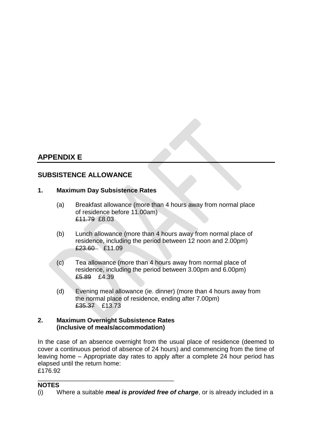# **APPENDIX E**

# **SUBSISTENCE ALLOWANCE**

#### **1. Maximum Day Subsistence Rates**

- (a) Breakfast allowance (more than 4 hours away from normal place of residence before 11.00am) £11.79 £8.03
- (b) Lunch allowance (more than 4 hours away from normal place of residence, including the period between 12 noon and 2.00pm) £23.60 £11.09
- (c) Tea allowance (more than 4 hours away from normal place of residence, including the period between 3.00pm and 6.00pm) £5.89 £4.39
- (d) Evening meal allowance (ie. dinner) (more than 4 hours away from the normal place of residence, ending after 7.00pm) £35.37 £13.73

#### **2. Maximum Overnight Subsistence Rates (inclusive of meals/accommodation)**

In the case of an absence overnight from the usual place of residence (deemed to cover a continuous period of absence of 24 hours) and commencing from the time of leaving home – Appropriate day rates to apply after a complete 24 hour period has elapsed until the return home: £176.92

#### \_\_\_\_\_\_\_\_\_\_\_\_\_\_\_\_\_\_\_\_\_\_\_\_\_\_\_\_\_\_\_\_\_\_\_\_\_\_\_ **NOTES**

<sup>(</sup>i) Where a suitable *meal is provided free of charge*, or is already included in a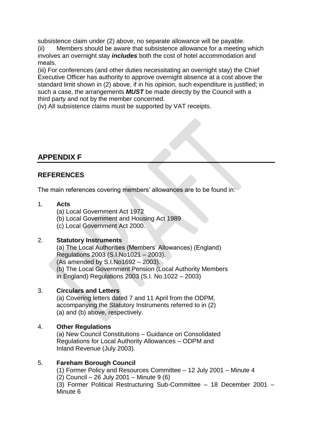subsistence claim under (2) above, no separate allowance will be payable.

(ii) Members should be aware that subsistence allowance for a meeting which involves an overnight stay *includes* both the cost of hotel accommodation and meals.

(iii) For conferences (and other duties necessitating an overnight stay) the Chief Executive Officer has authority to approve overnight absence at a cost above the standard limit shown in (2) above, if in his opinion, such expenditure is justified; in such a case, the arrangements *MUST* be made directly by the Council with a third party and not by the member concerned.

(iv) All subsistence claims must be supported by VAT receipts.

# **APPENDIX F**

# **REFERENCES**

The main references covering members' allowances are to be found in:

## 1. **Acts**

(a) Local Government Act 1972

(b) Local Government and Housing Act 1989

(c) Local Government Act 2000.

## 2. **Statutory Instruments**

(a) The Local Authorities (Members' Allowances) (England) Regulations 2003 (S.I.No1021 – 2003). (As amended by S.I.No1692 – 2003). (b) The Local Government Pension (Local Authority Members in England) Regulations 2003 (S.I. No.1022 – 2003)

## 3. **Circulars and Letters**

(a) Covering letters dated 7 and 11 April from the ODPM, accompanying the Statutory Instruments referred to in (2) (a) and (b) above, respectively.

## 4. **Other Regulations**

(a) New Council Constitutions – Guidance on Consolidated Regulations for Local Authority Allowances – ODPM and Inland Revenue (July 2003).

## 5. **Fareham Borough Council**

(1) Former Policy and Resources Committee – 12 July 2001 – Minute 4 (2) Council – 26 July 2001 – Minute 9 (6) (3) Former Political Restructuring Sub-Committee – 18 December 2001 – Minute 6